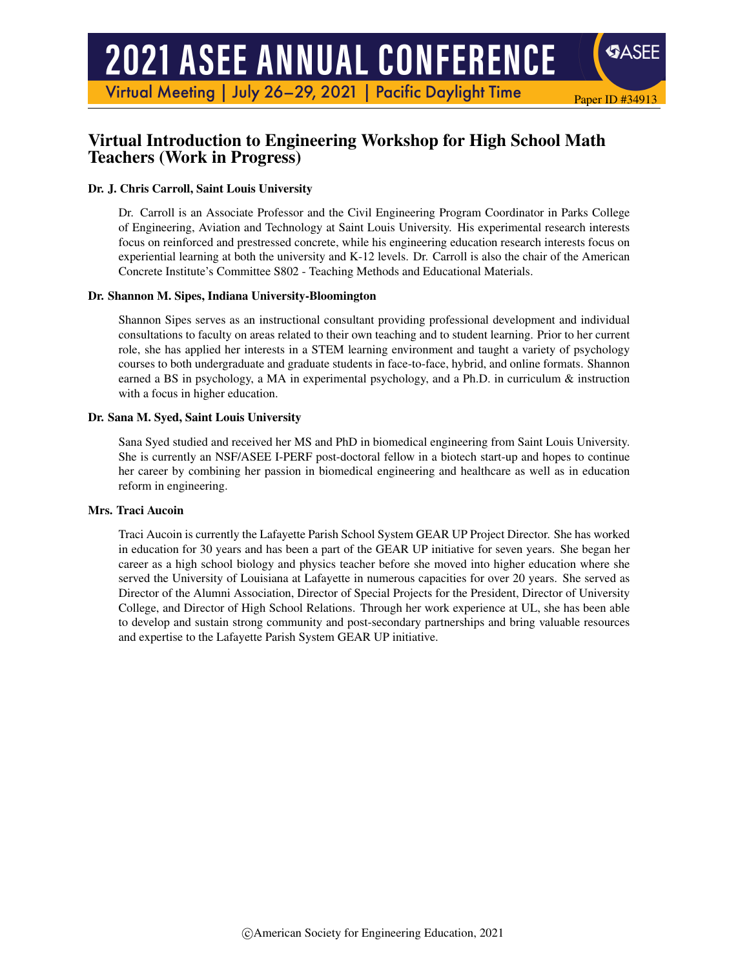# **2021 ASEE ANNUAL CONFERENCE**

Virtual Meeting | July 26-29, 2021 | Pacific Daylight Time

# Virtual Introduction to Engineering Workshop for High School Math Teachers (Work in Progress)

## Dr. J. Chris Carroll, Saint Louis University

Dr. Carroll is an Associate Professor and the Civil Engineering Program Coordinator in Parks College of Engineering, Aviation and Technology at Saint Louis University. His experimental research interests focus on reinforced and prestressed concrete, while his engineering education research interests focus on experiential learning at both the university and K-12 levels. Dr. Carroll is also the chair of the American Concrete Institute's Committee S802 - Teaching Methods and Educational Materials.

Paper ID #34913

SASEE

#### Dr. Shannon M. Sipes, Indiana University-Bloomington

Shannon Sipes serves as an instructional consultant providing professional development and individual consultations to faculty on areas related to their own teaching and to student learning. Prior to her current role, she has applied her interests in a STEM learning environment and taught a variety of psychology courses to both undergraduate and graduate students in face-to-face, hybrid, and online formats. Shannon earned a BS in psychology, a MA in experimental psychology, and a Ph.D. in curriculum & instruction with a focus in higher education.

#### Dr. Sana M. Syed, Saint Louis University

Sana Syed studied and received her MS and PhD in biomedical engineering from Saint Louis University. She is currently an NSF/ASEE I-PERF post-doctoral fellow in a biotech start-up and hopes to continue her career by combining her passion in biomedical engineering and healthcare as well as in education reform in engineering.

#### Mrs. Traci Aucoin

Traci Aucoin is currently the Lafayette Parish School System GEAR UP Project Director. She has worked in education for 30 years and has been a part of the GEAR UP initiative for seven years. She began her career as a high school biology and physics teacher before she moved into higher education where she served the University of Louisiana at Lafayette in numerous capacities for over 20 years. She served as Director of the Alumni Association, Director of Special Projects for the President, Director of University College, and Director of High School Relations. Through her work experience at UL, she has been able to develop and sustain strong community and post-secondary partnerships and bring valuable resources and expertise to the Lafayette Parish System GEAR UP initiative.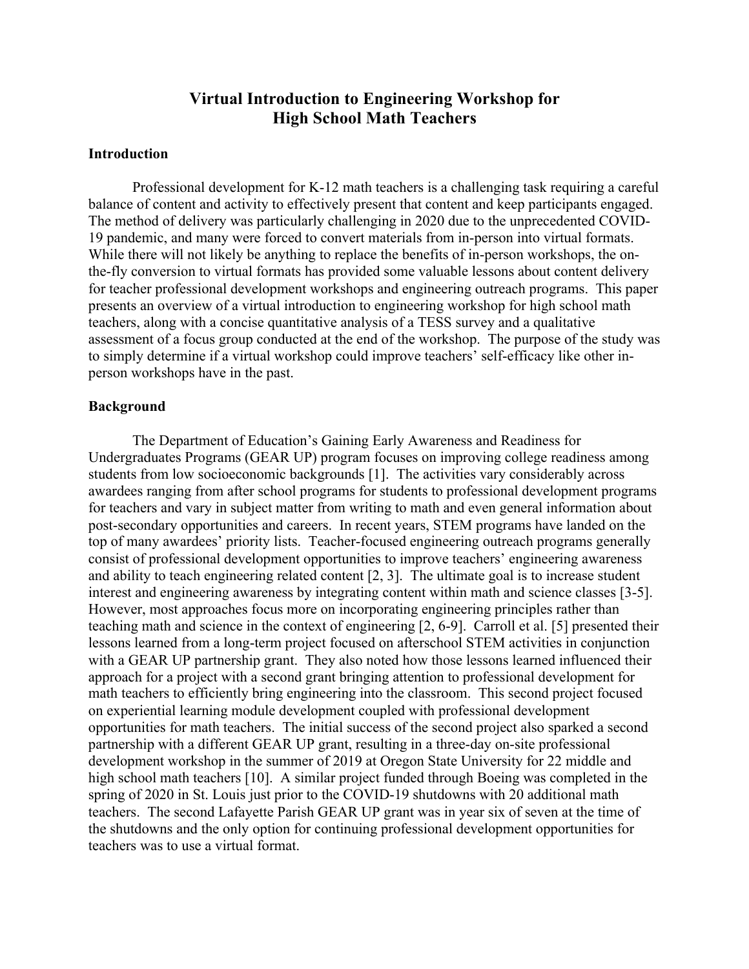# **Virtual Introduction to Engineering Workshop for High School Math Teachers**

# **Introduction**

Professional development for K-12 math teachers is a challenging task requiring a careful balance of content and activity to effectively present that content and keep participants engaged. The method of delivery was particularly challenging in 2020 due to the unprecedented COVID-19 pandemic, and many were forced to convert materials from in-person into virtual formats. While there will not likely be anything to replace the benefits of in-person workshops, the onthe-fly conversion to virtual formats has provided some valuable lessons about content delivery for teacher professional development workshops and engineering outreach programs. This paper presents an overview of a virtual introduction to engineering workshop for high school math teachers, along with a concise quantitative analysis of a TESS survey and a qualitative assessment of a focus group conducted at the end of the workshop. The purpose of the study was to simply determine if a virtual workshop could improve teachers' self-efficacy like other inperson workshops have in the past.

#### **Background**

The Department of Education's Gaining Early Awareness and Readiness for Undergraduates Programs (GEAR UP) program focuses on improving college readiness among students from low socioeconomic backgrounds [1]. The activities vary considerably across awardees ranging from after school programs for students to professional development programs for teachers and vary in subject matter from writing to math and even general information about post-secondary opportunities and careers. In recent years, STEM programs have landed on the top of many awardees' priority lists. Teacher-focused engineering outreach programs generally consist of professional development opportunities to improve teachers' engineering awareness and ability to teach engineering related content [2, 3]. The ultimate goal is to increase student interest and engineering awareness by integrating content within math and science classes [3-5]. However, most approaches focus more on incorporating engineering principles rather than teaching math and science in the context of engineering [2, 6-9]. Carroll et al. [5] presented their lessons learned from a long-term project focused on afterschool STEM activities in conjunction with a GEAR UP partnership grant. They also noted how those lessons learned influenced their approach for a project with a second grant bringing attention to professional development for math teachers to efficiently bring engineering into the classroom. This second project focused on experiential learning module development coupled with professional development opportunities for math teachers. The initial success of the second project also sparked a second partnership with a different GEAR UP grant, resulting in a three-day on-site professional development workshop in the summer of 2019 at Oregon State University for 22 middle and high school math teachers [10]. A similar project funded through Boeing was completed in the spring of 2020 in St. Louis just prior to the COVID-19 shutdowns with 20 additional math teachers. The second Lafayette Parish GEAR UP grant was in year six of seven at the time of the shutdowns and the only option for continuing professional development opportunities for teachers was to use a virtual format.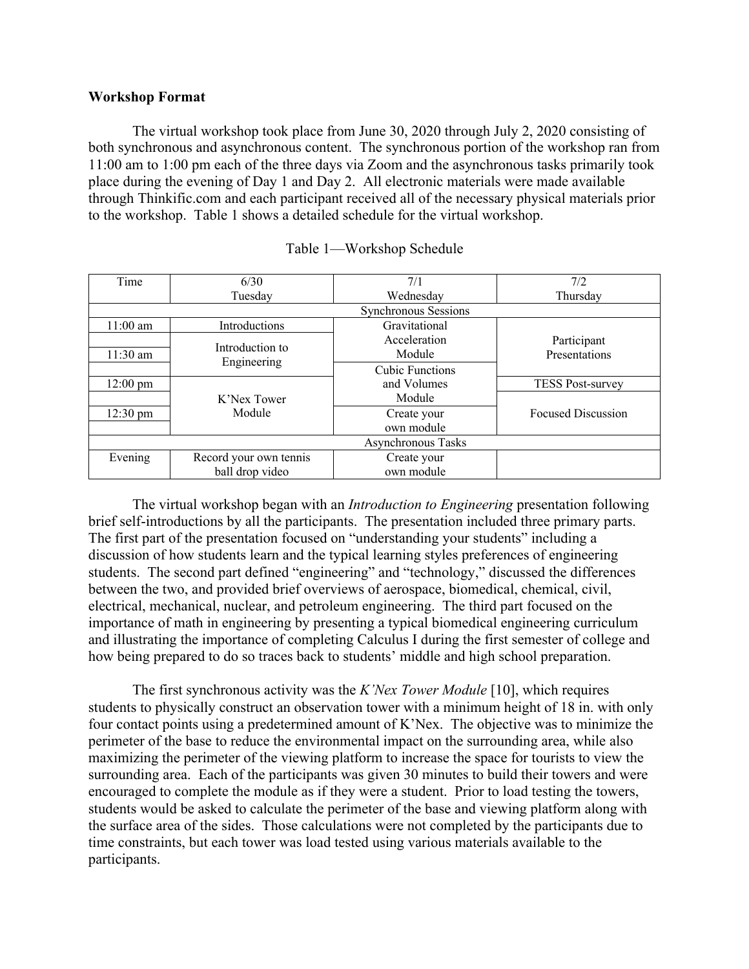# **Workshop Format**

The virtual workshop took place from June 30, 2020 through July 2, 2020 consisting of both synchronous and asynchronous content. The synchronous portion of the workshop ran from 11:00 am to 1:00 pm each of the three days via Zoom and the asynchronous tasks primarily took place during the evening of Day 1 and Day 2. All electronic materials were made available through Thinkific.com and each participant received all of the necessary physical materials prior to the workshop. Table 1 shows a detailed schedule for the virtual workshop.

| Time               | 6/30                           | 7/1                       | 7/2                          |  |
|--------------------|--------------------------------|---------------------------|------------------------------|--|
|                    | Tuesday                        | Wednesday                 | Thursday                     |  |
|                    |                                |                           |                              |  |
| $11:00$ am         | Introductions                  | Gravitational             |                              |  |
| $11:30$ am         | Introduction to<br>Engineering | Acceleration<br>Module    | Participant<br>Presentations |  |
|                    |                                | <b>Cubic Functions</b>    |                              |  |
| $12:00 \text{ pm}$ |                                | and Volumes               | <b>TESS Post-survey</b>      |  |
|                    | K'Nex Tower                    | Module                    |                              |  |
| $12:30 \text{ pm}$ | Module                         | Create your<br>own module | <b>Focused Discussion</b>    |  |
|                    |                                |                           |                              |  |
| Evening            | Record your own tennis         | Create your               |                              |  |
|                    | ball drop video                | own module                |                              |  |

#### Table 1—Workshop Schedule

The virtual workshop began with an *Introduction to Engineering* presentation following brief self-introductions by all the participants. The presentation included three primary parts. The first part of the presentation focused on "understanding your students" including a discussion of how students learn and the typical learning styles preferences of engineering students. The second part defined "engineering" and "technology," discussed the differences between the two, and provided brief overviews of aerospace, biomedical, chemical, civil, electrical, mechanical, nuclear, and petroleum engineering. The third part focused on the importance of math in engineering by presenting a typical biomedical engineering curriculum and illustrating the importance of completing Calculus I during the first semester of college and how being prepared to do so traces back to students' middle and high school preparation.

The first synchronous activity was the *K'Nex Tower Module* [10], which requires students to physically construct an observation tower with a minimum height of 18 in. with only four contact points using a predetermined amount of K'Nex. The objective was to minimize the perimeter of the base to reduce the environmental impact on the surrounding area, while also maximizing the perimeter of the viewing platform to increase the space for tourists to view the surrounding area. Each of the participants was given 30 minutes to build their towers and were encouraged to complete the module as if they were a student. Prior to load testing the towers, students would be asked to calculate the perimeter of the base and viewing platform along with the surface area of the sides. Those calculations were not completed by the participants due to time constraints, but each tower was load tested using various materials available to the participants.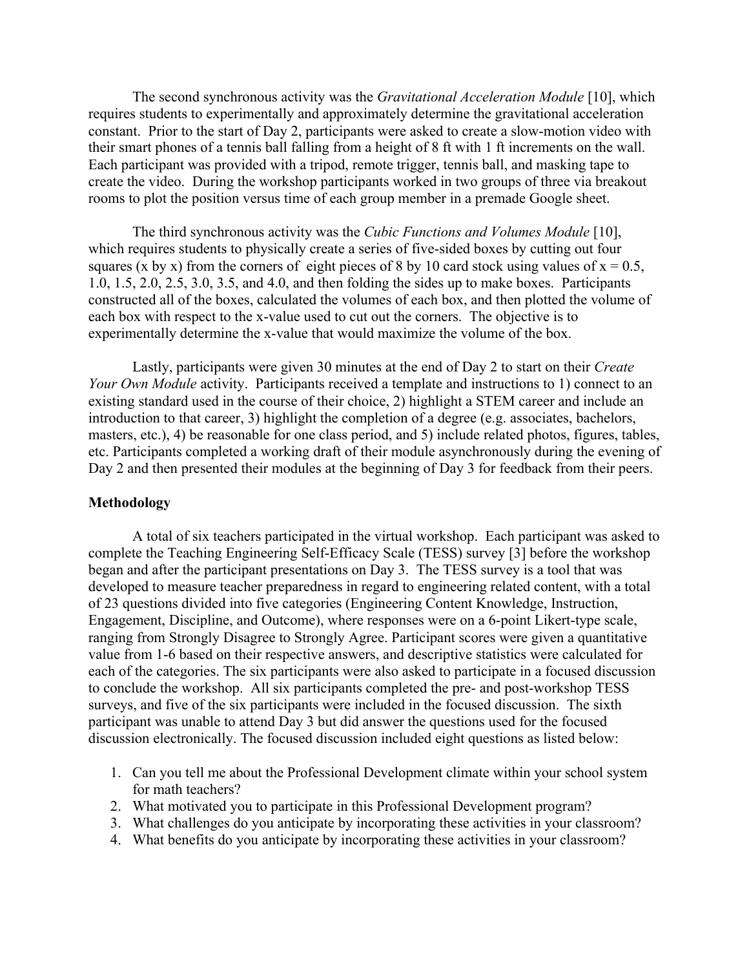The second synchronous activity was the *Gravitational Acceleration Module* [10], which requires students to experimentally and approximately determine the gravitational acceleration constant. Prior to the start of Day 2, participants were asked to create a slow-motion video with their smart phones of a tennis ball falling from a height of 8 ft with 1 ft increments on the wall. Each participant was provided with a tripod, remote trigger, tennis ball, and masking tape to create the video. During the workshop participants worked in two groups of three via breakout rooms to plot the position versus time of each group member in a premade Google sheet.

The third synchronous activity was the *Cubic Functions and Volumes Module* [10], which requires students to physically create a series of five-sided boxes by cutting out four squares (x by x) from the corners of eight pieces of 8 by 10 card stock using values of  $x = 0.5$ , 1.0, 1.5, 2.0, 2.5, 3.0, 3.5, and 4.0, and then folding the sides up to make boxes. Participants constructed all of the boxes, calculated the volumes of each box, and then plotted the volume of each box with respect to the x-value used to cut out the corners. The objective is to experimentally determine the x-value that would maximize the volume of the box.

Lastly, participants were given 30 minutes at the end of Day 2 to start on their *Create Your Own Module* activity. Participants received a template and instructions to 1) connect to an existing standard used in the course of their choice, 2) highlight a STEM career and include an introduction to that career, 3) highlight the completion of a degree (e.g. associates, bachelors, masters, etc.), 4) be reasonable for one class period, and 5) include related photos, figures, tables, etc. Participants completed a working draft of their module asynchronously during the evening of Day 2 and then presented their modules at the beginning of Day 3 for feedback from their peers.

### **Methodology**

A total of six teachers participated in the virtual workshop. Each participant was asked to complete the Teaching Engineering Self-Efficacy Scale (TESS) survey [3] before the workshop began and after the participant presentations on Day 3. The TESS survey is a tool that was developed to measure teacher preparedness in regard to engineering related content, with a total of 23 questions divided into five categories (Engineering Content Knowledge, Instruction, Engagement, Discipline, and Outcome), where responses were on a 6-point Likert-type scale, ranging from Strongly Disagree to Strongly Agree. Participant scores were given a quantitative value from 1-6 based on their respective answers, and descriptive statistics were calculated for each of the categories. The six participants were also asked to participate in a focused discussion to conclude the workshop. All six participants completed the pre- and post-workshop TESS surveys, and five of the six participants were included in the focused discussion. The sixth participant was unable to attend Day 3 but did answer the questions used for the focused discussion electronically. The focused discussion included eight questions as listed below:

- 1. Can you tell me about the Professional Development climate within your school system for math teachers?
- 2. What motivated you to participate in this Professional Development program?
- 3. What challenges do you anticipate by incorporating these activities in your classroom?
- 4. What benefits do you anticipate by incorporating these activities in your classroom?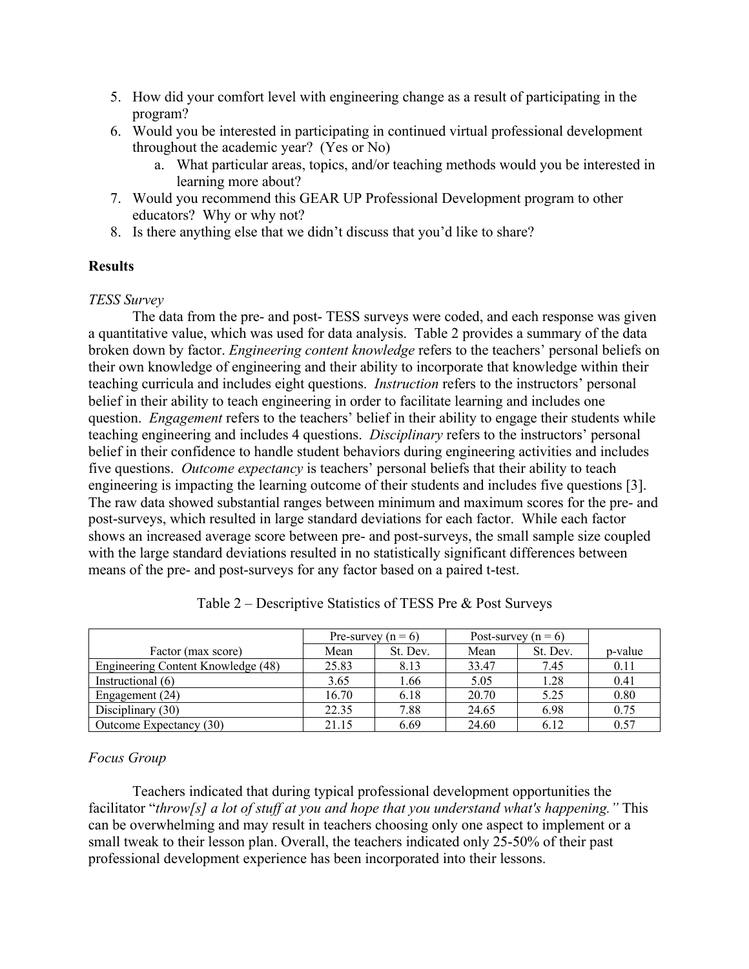- 5. How did your comfort level with engineering change as a result of participating in the program?
- 6. Would you be interested in participating in continued virtual professional development throughout the academic year? (Yes or No)
	- a. What particular areas, topics, and/or teaching methods would you be interested in learning more about?
- 7. Would you recommend this GEAR UP Professional Development program to other educators? Why or why not?
- 8. Is there anything else that we didn't discuss that you'd like to share?

# **Results**

*TESS Survey*

The data from the pre- and post- TESS surveys were coded, and each response was given a quantitative value, which was used for data analysis. Table 2 provides a summary of the data broken down by factor. *Engineering content knowledge* refers to the teachers' personal beliefs on their own knowledge of engineering and their ability to incorporate that knowledge within their teaching curricula and includes eight questions. *Instruction* refers to the instructors' personal belief in their ability to teach engineering in order to facilitate learning and includes one question. *Engagement* refers to the teachers' belief in their ability to engage their students while teaching engineering and includes 4 questions. *Disciplinary* refers to the instructors' personal belief in their confidence to handle student behaviors during engineering activities and includes five questions. *Outcome expectancy* is teachers' personal beliefs that their ability to teach engineering is impacting the learning outcome of their students and includes five questions [3]. The raw data showed substantial ranges between minimum and maximum scores for the pre- and post-surveys, which resulted in large standard deviations for each factor. While each factor shows an increased average score between pre- and post-surveys, the small sample size coupled with the large standard deviations resulted in no statistically significant differences between means of the pre- and post-surveys for any factor based on a paired t-test.

|                                    | Pre-survey $(n = 6)$ |          | Post-survey $(n = 6)$ |          |         |
|------------------------------------|----------------------|----------|-----------------------|----------|---------|
| Factor (max score)                 | Mean                 | St. Dev. | Mean                  | St. Dev. | p-value |
| Engineering Content Knowledge (48) | 25.83                | 8.13     | 33.47                 | 7.45     | 0.11    |
| Instructional (6)                  | 3.65                 | 1.66     | 5.05                  | 1.28     | 0.41    |
| Engagement (24)                    | 16.70                | 6.18     | 20.70                 | 5.25     | 0.80    |
| Disciplinary $(30)$                | 22.35                | 7.88     | 24.65                 | 6.98     | 0.75    |
| Outcome Expectancy (30)            | 21.15                | 6.69     | 24.60                 | 6.12     | 0.57    |

Table 2 – Descriptive Statistics of TESS Pre & Post Surveys

# *Focus Group*

Teachers indicated that during typical professional development opportunities the facilitator "*throw[s] a lot of stuff at you and hope that you understand what's happening."* This can be overwhelming and may result in teachers choosing only one aspect to implement or a small tweak to their lesson plan. Overall, the teachers indicated only 25-50% of their past professional development experience has been incorporated into their lessons.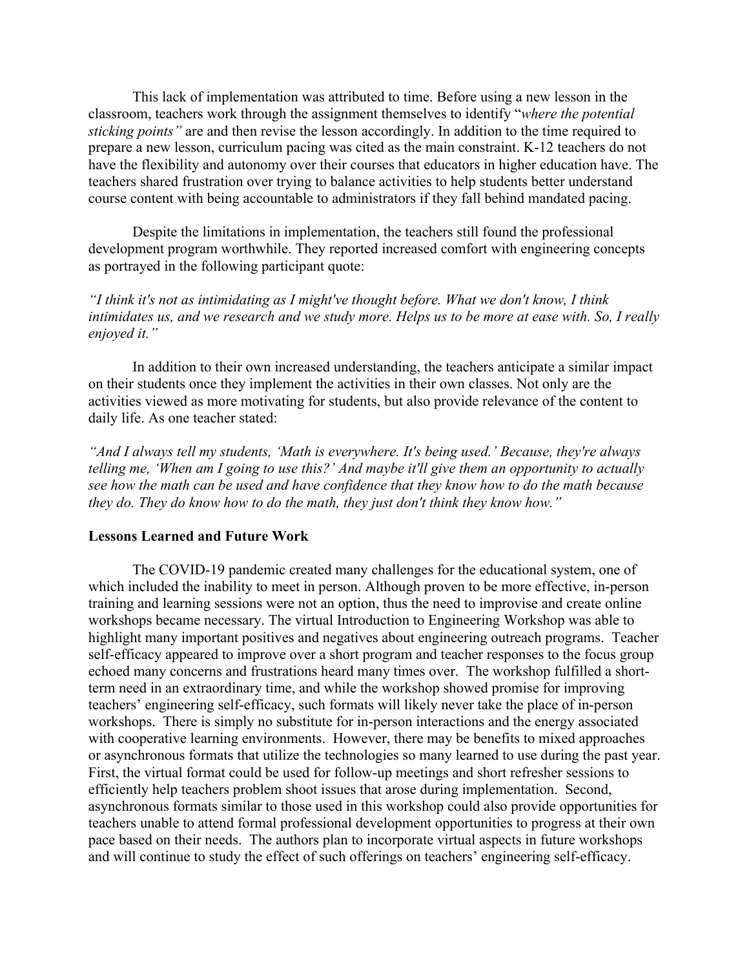This lack of implementation was attributed to time. Before using a new lesson in the classroom, teachers work through the assignment themselves to identify "*where the potential sticking points"* are and then revise the lesson accordingly. In addition to the time required to prepare a new lesson, curriculum pacing was cited as the main constraint. K-12 teachers do not have the flexibility and autonomy over their courses that educators in higher education have. The teachers shared frustration over trying to balance activities to help students better understand course content with being accountable to administrators if they fall behind mandated pacing.

Despite the limitations in implementation, the teachers still found the professional development program worthwhile. They reported increased comfort with engineering concepts as portrayed in the following participant quote:

*"I think it's not as intimidating as I might've thought before. What we don't know, I think intimidates us, and we research and we study more. Helps us to be more at ease with. So, I really enjoyed it."*

In addition to their own increased understanding, the teachers anticipate a similar impact on their students once they implement the activities in their own classes. Not only are the activities viewed as more motivating for students, but also provide relevance of the content to daily life. As one teacher stated:

*"And I always tell my students, 'Math is everywhere. It's being used.' Because, they're always telling me, 'When am I going to use this?' And maybe it'll give them an opportunity to actually see how the math can be used and have confidence that they know how to do the math because they do. They do know how to do the math, they just don't think they know how."*

#### **Lessons Learned and Future Work**

The COVID-19 pandemic created many challenges for the educational system, one of which included the inability to meet in person. Although proven to be more effective, in-person training and learning sessions were not an option, thus the need to improvise and create online workshops became necessary. The virtual Introduction to Engineering Workshop was able to highlight many important positives and negatives about engineering outreach programs. Teacher self-efficacy appeared to improve over a short program and teacher responses to the focus group echoed many concerns and frustrations heard many times over. The workshop fulfilled a shortterm need in an extraordinary time, and while the workshop showed promise for improving teachers' engineering self-efficacy, such formats will likely never take the place of in-person workshops. There is simply no substitute for in-person interactions and the energy associated with cooperative learning environments. However, there may be benefits to mixed approaches or asynchronous formats that utilize the technologies so many learned to use during the past year. First, the virtual format could be used for follow-up meetings and short refresher sessions to efficiently help teachers problem shoot issues that arose during implementation. Second, asynchronous formats similar to those used in this workshop could also provide opportunities for teachers unable to attend formal professional development opportunities to progress at their own pace based on their needs. The authors plan to incorporate virtual aspects in future workshops and will continue to study the effect of such offerings on teachers' engineering self-efficacy.